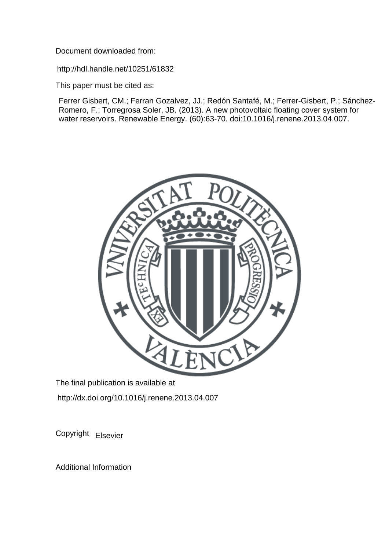Document downloaded from:

http://hdl.handle.net/10251/61832

This paper must be cited as:

Ferrer Gisbert, CM.; Ferran Gozalvez, JJ.; Redón Santafé, M.; Ferrer-Gisbert, P.; Sánchez-Romero, F.; Torregrosa Soler, JB. (2013). A new photovoltaic floating cover system for water reservoirs. Renewable Energy. (60):63-70. doi:10.1016/j.renene.2013.04.007.



The final publication is available at http://dx.doi.org/10.1016/j.renene.2013.04.007

Copyright Elsevier

Additional Information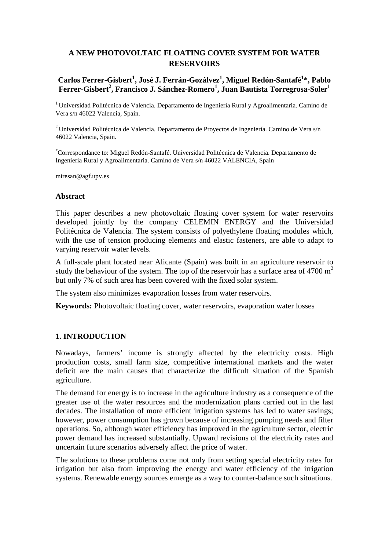# **A NEW PHOTOVOLTAIC FLOATING COVER SYSTEM FOR WATER RESERVOIRS**

## **Carlos Ferrer-Gisbert1 , José J. Ferrán-Gozálvez1 , Miguel Redón-Santafé1 \*, Pablo**   $\mathbf{F}$ errer-Gisbert<sup>2</sup>, Francisco J. Sánchez-Romero<sup>1</sup>, Juan Bautista Torregrosa-Soler $^1$

<sup>1</sup> Universidad Politécnica de Valencia. Departamento de Ingeniería Rural y Agroalimentaria. Camino de Vera s/n 46022 Valencia, Spain.

2 Universidad Politécnica de Valencia. Departamento de Proyectos de Ingeniería. Camino de Vera s/n 46022 Valencia, Spain.

\* Correspondance to: Miguel Redón-Santafé. Universidad Politécnica de Valencia. Departamento de Ingeniería Rural y Agroalimentaria. Camino de Vera s/n 46022 VALENCIA, Spain

miresan@agf.upv.es

#### **Abstract**

This paper describes a new photovoltaic floating cover system for water reservoirs developed jointly by the company CELEMIN ENERGY and the Universidad Politécnica de Valencia. The system consists of polyethylene floating modules which, with the use of tension producing elements and elastic fasteners, are able to adapt to varying reservoir water levels.

A full-scale plant located near Alicante (Spain) was built in an agriculture reservoir to study the behaviour of the system. The top of the reservoir has a surface area of 4700  $m<sup>2</sup>$ but only 7% of such area has been covered with the fixed solar system.

The system also minimizes evaporation losses from water reservoirs.

**Keywords:** Photovoltaic floating cover, water reservoirs, evaporation water losses

#### **1. INTRODUCTION**

Nowadays, farmers' income is strongly affected by the electricity costs. High production costs, small farm size, competitive international markets and the water deficit are the main causes that characterize the difficult situation of the Spanish agriculture.

The demand for energy is to increase in the agriculture industry as a consequence of the greater use of the water resources and the modernization plans carried out in the last decades. The installation of more efficient irrigation systems has led to water savings; however, power consumption has grown because of increasing pumping needs and filter operations. So, although water efficiency has improved in the agriculture sector, electric power demand has increased substantially. Upward revisions of the electricity rates and uncertain future scenarios adversely affect the price of water.

The solutions to these problems come not only from setting special electricity rates for irrigation but also from improving the energy and water efficiency of the irrigation systems. Renewable energy sources emerge as a way to counter-balance such situations.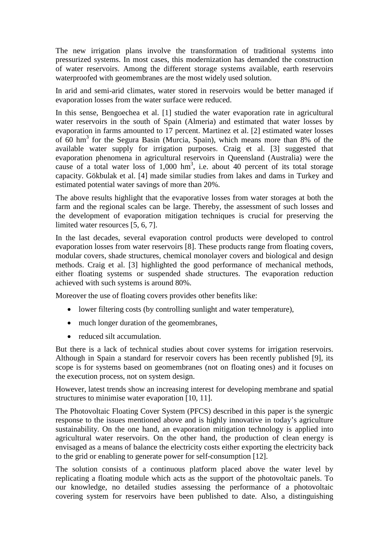The new irrigation plans involve the transformation of traditional systems into pressurized systems. In most cases, this modernization has demanded the construction of water reservoirs. Among the different storage systems available, earth reservoirs waterproofed with geomembranes are the most widely used solution.

In arid and semi-arid climates, water stored in reservoirs would be better managed if evaporation losses from the water surface were reduced.

In this sense, Bengoechea et al. [1] studied the water evaporation rate in agricultural water reservoirs in the south of Spain (Almeria) and estimated that water losses by evaporation in farms amounted to 17 percent. Martinez et al. [2] estimated water losses of 60 hm<sup>3</sup> for the Segura Basin (Murcia, Spain), which means more than 8% of the available water supply for irrigation purposes. Craig et al. [3] suggested that evaporation phenomena in agricultural reservoirs in Queensland (Australia) were the cause of a total water loss of  $1,000$  hm<sup>3</sup>, i.e. about 40 percent of its total storage capacity. Gökbulak et al. [4] made similar studies from lakes and dams in Turkey and estimated potential water savings of more than 20%.

The above results highlight that the evaporative losses from water storages at both the farm and the regional scales can be large. Thereby, the assessment of such losses and the development of evaporation mitigation techniques is crucial for preserving the limited water resources [5, 6, 7].

In the last decades, several evaporation control products were developed to control evaporation losses from water reservoirs [8]. These products range from floating covers, modular covers, shade structures, chemical monolayer covers and biological and design methods. Craig et al. [3] highlighted the good performance of mechanical methods, either floating systems or suspended shade structures. The evaporation reduction achieved with such systems is around 80%.

Moreover the use of floating covers provides other benefits like:

- lower filtering costs (by controlling sunlight and water temperature),
- much longer duration of the geomembranes,
- reduced silt accumulation.

But there is a lack of technical studies about cover systems for irrigation reservoirs. Although in Spain a standard for reservoir covers has been recently published [9], its scope is for systems based on geomembranes (not on floating ones) and it focuses on the execution process, not on system design.

However, latest trends show an increasing interest for developing membrane and spatial structures to minimise water evaporation [10, 11].

The Photovoltaic Floating Cover System (PFCS) described in this paper is the synergic response to the issues mentioned above and is highly innovative in today's agriculture sustainability. On the one hand, an evaporation mitigation technology is applied into agricultural water reservoirs. On the other hand, the production of clean energy is envisaged as a means of balance the electricity costs either exporting the electricity back to the grid or enabling to generate power for self-consumption [12].

The solution consists of a continuous platform placed above the water level by replicating a floating module which acts as the support of the photovoltaic panels. To our knowledge, no detailed studies assessing the performance of a photovoltaic covering system for reservoirs have been published to date. Also, a distinguishing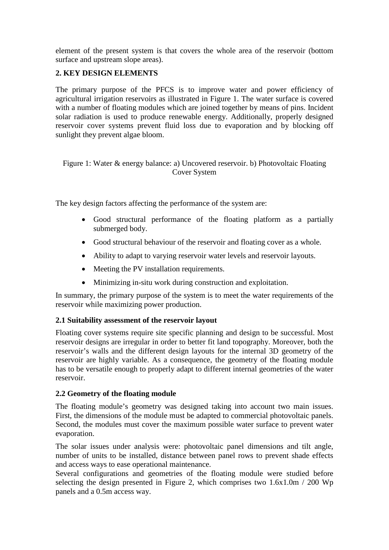element of the present system is that covers the whole area of the reservoir (bottom surface and upstream slope areas).

## **2. KEY DESIGN ELEMENTS**

The primary purpose of the PFCS is to improve water and power efficiency of agricultural irrigation reservoirs as illustrated in Figure 1. The water surface is covered with a number of floating modules which are joined together by means of pins. Incident solar radiation is used to produce renewable energy. Additionally, properly designed reservoir cover systems prevent fluid loss due to evaporation and by blocking off sunlight they prevent algae bloom.

## Figure 1: Water & energy balance: a) Uncovered reservoir. b) Photovoltaic Floating Cover System

The key design factors affecting the performance of the system are:

- Good structural performance of the floating platform as a partially submerged body.
- Good structural behaviour of the reservoir and floating cover as a whole.
- Ability to adapt to varying reservoir water levels and reservoir layouts.
- Meeting the PV installation requirements.
- Minimizing in-situ work during construction and exploitation.

In summary, the primary purpose of the system is to meet the water requirements of the reservoir while maximizing power production.

## **2.1 Suitability assessment of the reservoir layout**

Floating cover systems require site specific planning and design to be successful. Most reservoir designs are irregular in order to better fit land topography. Moreover, both the reservoir's walls and the different design layouts for the internal 3D geometry of the reservoir are highly variable. As a consequence, the geometry of the floating module has to be versatile enough to properly adapt to different internal geometries of the water reservoir.

## **2.2 Geometry of the floating module**

The floating module's geometry was designed taking into account two main issues. First, the dimensions of the module must be adapted to commercial photovoltaic panels. Second, the modules must cover the maximum possible water surface to prevent water evaporation.

The solar issues under analysis were: photovoltaic panel dimensions and tilt angle, number of units to be installed, distance between panel rows to prevent shade effects and access ways to ease operational maintenance.

Several configurations and geometries of the floating module were studied before selecting the design presented in Figure 2, which comprises two  $1.6x1.0m / 200 Wp$ panels and a 0.5m access way.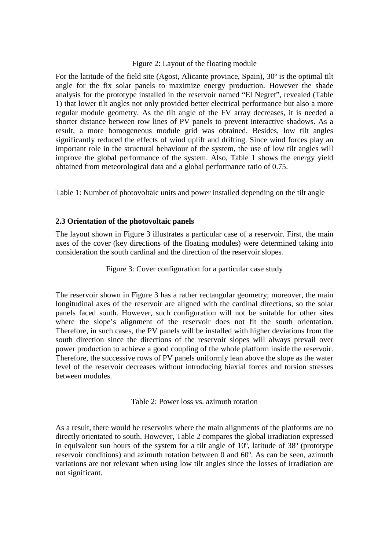#### Figure 2: Layout of the floating module

For the latitude of the field site (Agost, Alicante province, Spain), 30º is the optimal tilt angle for the fix solar panels to maximize energy production. However the shade analysis for the prototype installed in the reservoir named "El Negret", revealed (Table 1) that lower tilt angles not only provided better electrical performance but also a more regular module geometry. As the tilt angle of the FV array decreases, it is needed a shorter distance between row lines of PV panels to prevent interactive shadows. As a result, a more homogeneous module grid was obtained. Besides, low tilt angles significantly reduced the effects of wind uplift and drifting. Since wind forces play an important role in the structural behaviour of the system, the use of low tilt angles will improve the global performance of the system. Also, Table 1 shows the energy yield obtained from meteorological data and a global performance ratio of 0.75.

Table 1: Number of photovoltaic units and power installed depending on the tilt angle

## **2.3 Orientation of the photovoltaic panels**

The layout shown in Figure 3 illustrates a particular case of a reservoir. First, the main axes of the cover (key directions of the floating modules) were determined taking into consideration the south cardinal and the direction of the reservoir slopes.

Figure 3: Cover configuration for a particular case study

The reservoir shown in Figure 3 has a rather rectangular geometry; moreover, the main longitudinal axes of the reservoir are aligned with the cardinal directions, so the solar panels faced south. However, such configuration will not be suitable for other sites where the slope's alignment of the reservoir does not fit the south orientation. Therefore, in such cases, the PV panels will be installed with higher deviations from the south direction since the directions of the reservoir slopes will always prevail over power production to achieve a good coupling of the whole platform inside the reservoir. Therefore, the successive rows of PV panels uniformly lean above the slope as the water level of the reservoir decreases without introducing biaxial forces and torsion stresses between modules.

Table 2: Power loss vs. azimuth rotation

As a result, there would be reservoirs where the main alignments of the platforms are no directly orientated to south. However, Table 2 compares the global irradiation expressed in equivalent sun hours of the system for a tilt angle of  $10^{\circ}$ , latitude of  $38^{\circ}$  (prototype reservoir conditions) and azimuth rotation between 0 and 60º. As can be seen, azimuth variations are not relevant when using low tilt angles since the losses of irradiation are not significant.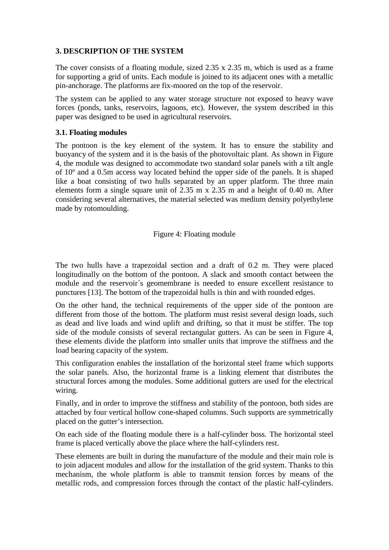## **3. DESCRIPTION OF THE SYSTEM**

The cover consists of a floating module, sized 2.35 x 2.35 m, which is used as a frame for supporting a grid of units. Each module is joined to its adjacent ones with a metallic pin-anchorage. The platforms are fix-moored on the top of the reservoir.

The system can be applied to any water storage structure not exposed to heavy wave forces (ponds, tanks, reservoirs, lagoons, etc). However, the system described in this paper was designed to be used in agricultural reservoirs.

## **3.1. Floating modules**

The pontoon is the key element of the system. It has to ensure the stability and buoyancy of the system and it is the basis of the photovoltaic plant. As shown in Figure 4, the module was designed to accommodate two standard solar panels with a tilt angle of 10º and a 0.5m access way located behind the upper side of the panels. It is shaped like a boat consisting of two hulls separated by an upper platform. The three main elements form a single square unit of  $2.35$  m x  $2.35$  m and a height of 0.40 m. After considering several alternatives, the material selected was medium density polyethylene made by rotomoulding.

Figure 4: Floating module

The two hulls have a trapezoidal section and a draft of 0.2 m. They were placed longitudinally on the bottom of the pontoon. A slack and smooth contact between the module and the reservoir´s geomembrane is needed to ensure excellent resistance to punctures [13]. The bottom of the trapezoidal hulls is thin and with rounded edges.

On the other hand, the technical requirements of the upper side of the pontoon are different from those of the bottom. The platform must resist several design loads, such as dead and live loads and wind uplift and drifting, so that it must be stiffer. The top side of the module consists of several rectangular gutters. As can be seen in Figure 4, these elements divide the platform into smaller units that improve the stiffness and the load bearing capacity of the system.

This configuration enables the installation of the horizontal steel frame which supports the solar panels. Also, the horizontal frame is a linking element that distributes the structural forces among the modules. Some additional gutters are used for the electrical wiring.

Finally, and in order to improve the stiffness and stability of the pontoon, both sides are attached by four vertical hollow cone-shaped columns. Such supports are symmetrically placed on the gutter's intersection.

On each side of the floating module there is a half-cylinder boss. The horizontal steel frame is placed vertically above the place where the half-cylinders rest.

These elements are built in during the manufacture of the module and their main role is to join adjacent modules and allow for the installation of the grid system. Thanks to this mechanism, the whole platform is able to transmit tension forces by means of the metallic rods, and compression forces through the contact of the plastic half-cylinders.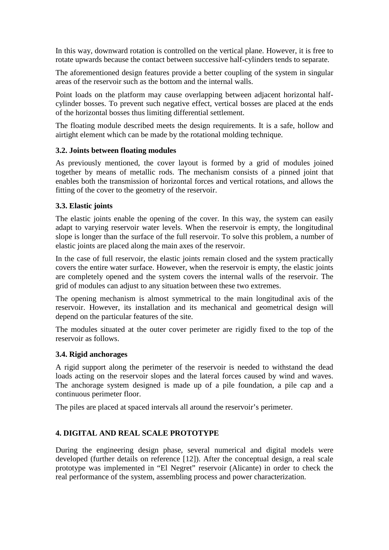In this way, downward rotation is controlled on the vertical plane. However, it is free to rotate upwards because the contact between successive half-cylinders tends to separate.

The aforementioned design features provide a better coupling of the system in singular areas of the reservoir such as the bottom and the internal walls.

Point loads on the platform may cause overlapping between adjacent horizontal halfcylinder bosses. To prevent such negative effect, vertical bosses are placed at the ends of the horizontal bosses thus limiting differential settlement.

The floating module described meets the design requirements. It is a safe, hollow and airtight element which can be made by the rotational molding technique.

## **3.2. Joints between floating modules**

As previously mentioned, the cover layout is formed by a grid of modules joined together by means of metallic rods. The mechanism consists of a pinned joint that enables both the transmission of horizontal forces and vertical rotations, and allows the fitting of the cover to the geometry of the reservoir.

## **3.3. Elastic joints**

The elastic joints enable the opening of the cover. In this way, the system can easily adapt to varying reservoir water levels. When the reservoir is empty, the longitudinal slope is longer than the surface of the full reservoir. To solve this problem, a number of elastic joints are placed along the main axes of the reservoir.

In the case of full reservoir, the elastic joints remain closed and the system practically covers the entire water surface. However, when the reservoir is empty, the elastic joints are completely opened and the system covers the internal walls of the reservoir. The grid of modules can adjust to any situation between these two extremes.

The opening mechanism is almost symmetrical to the main longitudinal axis of the reservoir. However, its installation and its mechanical and geometrical design will depend on the particular features of the site.

The modules situated at the outer cover perimeter are rigidly fixed to the top of the reservoir as follows.

#### **3.4. Rigid anchorages**

A rigid support along the perimeter of the reservoir is needed to withstand the dead loads acting on the reservoir slopes and the lateral forces caused by wind and waves. The anchorage system designed is made up of a pile foundation, a pile cap and a continuous perimeter floor.

The piles are placed at spaced intervals all around the reservoir's perimeter.

## **4. DIGITAL AND REAL SCALE PROTOTYPE**

During the engineering design phase, several numerical and digital models were developed (further details on reference [12]). After the conceptual design, a real scale prototype was implemented in "El Negret" reservoir (Alicante) in order to check the real performance of the system, assembling process and power characterization.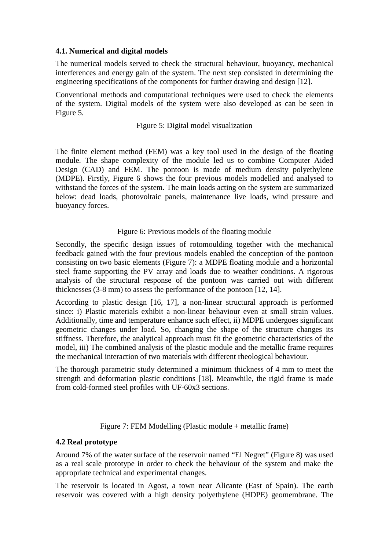## **4.1. Numerical and digital models**

The numerical models served to check the structural behaviour, buoyancy, mechanical interferences and energy gain of the system. The next step consisted in determining the engineering specifications of the components for further drawing and design [12].

Conventional methods and computational techniques were used to check the elements of the system. Digital models of the system were also developed as can be seen in Figure 5.

#### Figure 5: Digital model visualization

The finite element method (FEM) was a key tool used in the design of the floating module. The shape complexity of the module led us to combine Computer Aided Design (CAD) and FEM. The pontoon is made of medium density polyethylene (MDPE). Firstly, Figure 6 shows the four previous models modelled and analysed to withstand the forces of the system. The main loads acting on the system are summarized below: dead loads, photovoltaic panels, maintenance live loads, wind pressure and buoyancy forces.

## Figure 6: Previous models of the floating module

Secondly, the specific design issues of rotomoulding together with the mechanical feedback gained with the four previous models enabled the conception of the pontoon consisting on two basic elements (Figure 7): a MDPE floating module and a horizontal steel frame supporting the PV array and loads due to weather conditions. A rigorous analysis of the structural response of the pontoon was carried out with different thicknesses (3-8 mm) to assess the performance of the pontoon [12, 14].

According to plastic design [16, 17], a non-linear structural approach is performed since: i) Plastic materials exhibit a non-linear behaviour even at small strain values. Additionally, time and temperature enhance such effect, ii) MDPE undergoes significant geometric changes under load. So, changing the shape of the structure changes its stiffness. Therefore, the analytical approach must fit the geometric characteristics of the model, iii) The combined analysis of the plastic module and the metallic frame requires the mechanical interaction of two materials with different rheological behaviour.

The thorough parametric study determined a minimum thickness of 4 mm to meet the strength and deformation plastic conditions [18]. Meanwhile, the rigid frame is made from cold-formed steel profiles with UF-60x3 sections.

Figure 7: FEM Modelling (Plastic module + metallic frame)

#### **4.2 Real prototype**

Around 7% of the water surface of the reservoir named "El Negret" (Figure 8) was used as a real scale prototype in order to check the behaviour of the system and make the appropriate technical and experimental changes.

The reservoir is located in Agost, a town near Alicante (East of Spain). The earth reservoir was covered with a high density polyethylene (HDPE) geomembrane. The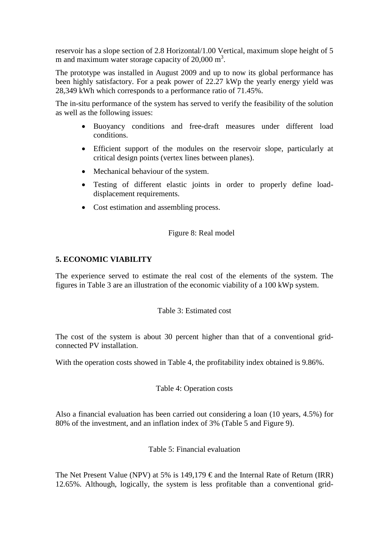reservoir has a slope section of 2.8 Horizontal/1.00 Vertical, maximum slope height of 5 m and maximum water storage capacity of  $20,000 \text{ m}^3$ .

The prototype was installed in August 2009 and up to now its global performance has been highly satisfactory. For a peak power of 22.27 kWp the yearly energy yield was 28,349 kWh which corresponds to a performance ratio of 71.45%.

The in-situ performance of the system has served to verify the feasibility of the solution as well as the following issues:

- Buoyancy conditions and free-draft measures under different load conditions.
- Efficient support of the modules on the reservoir slope, particularly at critical design points (vertex lines between planes).
- Mechanical behaviour of the system.
- Testing of different elastic joints in order to properly define loaddisplacement requirements.
- Cost estimation and assembling process.

Figure 8: Real model

# **5. ECONOMIC VIABILITY**

The experience served to estimate the real cost of the elements of the system. The figures in Table 3 are an illustration of the economic viability of a 100 kWp system.

Table 3: Estimated cost

The cost of the system is about 30 percent higher than that of a conventional gridconnected PV installation.

With the operation costs showed in Table 4, the profitability index obtained is 9.86%.

Table 4: Operation costs

Also a financial evaluation has been carried out considering a loan (10 years, 4.5%) for 80% of the investment, and an inflation index of 3% (Table 5 and Figure 9).

Table 5: Financial evaluation

The Net Present Value (NPV) at 5% is 149,179  $\epsilon$  and the Internal Rate of Return (IRR) 12.65%. Although, logically, the system is less profitable than a conventional grid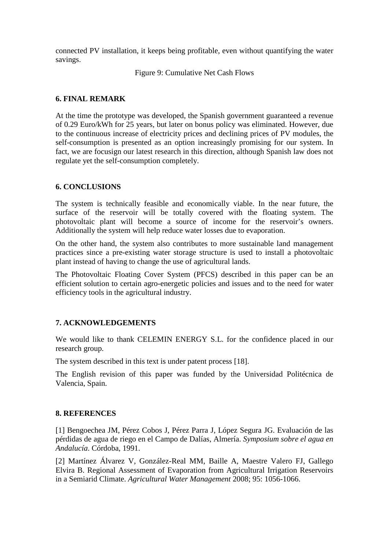connected PV installation, it keeps being profitable, even without quantifying the water savings.

Figure 9: Cumulative Net Cash Flows

## **6. FINAL REMARK**

At the time the prototype was developed, the Spanish government guaranteed a revenue of 0.29 Euro/kWh for 25 years, but later on bonus policy was eliminated. However, due to the continuous increase of electricity prices and declining prices of PV modules, the self-consumption is presented as an option increasingly promising for our system. In fact, we are focusign our latest research in this direction, although Spanish law does not regulate yet the self-consumption completely.

## **6. CONCLUSIONS**

The system is technically feasible and economically viable. In the near future, the surface of the reservoir will be totally covered with the floating system. The photovoltaic plant will become a source of income for the reservoir's owners. Additionally the system will help reduce water losses due to evaporation.

On the other hand, the system also contributes to more sustainable land management practices since a pre-existing water storage structure is used to install a photovoltaic plant instead of having to change the use of agricultural lands.

The Photovoltaic Floating Cover System (PFCS) described in this paper can be an efficient solution to certain agro-energetic policies and issues and to the need for water efficiency tools in the agricultural industry.

## **7. ACKNOWLEDGEMENTS**

We would like to thank CELEMIN ENERGY S.L. for the confidence placed in our research group.

The system described in this text is under patent process [18].

The English revision of this paper was funded by the Universidad Politécnica de Valencia, Spain.

#### **8. REFERENCES**

[1] Bengoechea JM, Pérez Cobos J, Pérez Parra J, López Segura JG. Evaluación de las pérdidas de agua de riego en el Campo de Dalías, Almería. *Symposium sobre el agua en Andalucía*. Córdoba, 1991.

[2] Martínez Álvarez V, González-Real MM, Baille A, Maestre Valero FJ, Gallego Elvira B. Regional Assessment of Evaporation from Agricultural Irrigation Reservoirs in a Semiarid Climate. *Agricultural Water Management* 2008; 95: 1056-1066.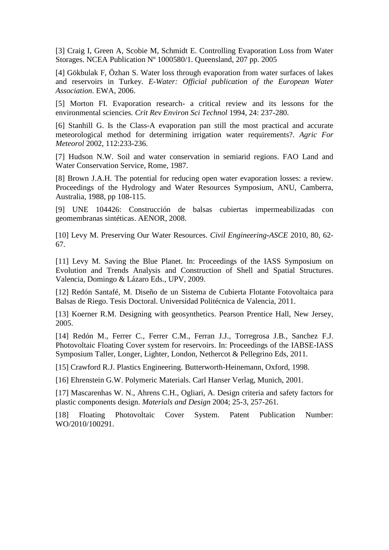[3] Craig I, Green A, Scobie M, Schmidt E. Controlling Evaporation Loss from Water Storages. NCEA Publication Nº 1000580/1. Queensland, 207 pp. 2005

[4] Gökbulak F, Özhan S. Water loss through evaporation from water surfaces of lakes and reservoirs in Turkey. *E-Water: Official publication of the European Water Association*. EWA, 2006.

[5] Morton FI. Evaporation research- a critical review and its lessons for the environmental sciencies. *Crit Rev Environ Sci Technol* 1994, 24: 237-280.

[6] Stanhill G. Is the Class-A evaporation pan still the most practical and accurate meteorological method for determining irrigation water requirements?. *Agric For Meteorol* 2002, 112:233-236.

[7] Hudson N.W. Soil and water conservation in semiarid regions. FAO Land and Water Conservation Service, Rome, 1987.

[8] Brown J.A.H. The potential for reducing open water evaporation losses: a review. Proceedings of the Hydrology and Water Resources Symposium, ANU, Camberra, Australia, 1988, pp 108-115.

[9] UNE 104426: Construcción de balsas cubiertas impermeabilizadas con geomembranas sintéticas. AENOR, 2008.

[10] Levy M. Preserving Our Water Resources. *Civil Engineering-ASCE* 2010, 80, 62- 67.

[11] Levy M. Saving the Blue Planet. In: Proceedings of the IASS Symposium on Evolution and Trends Analysis and Construction of Shell and Spatial Structures. Valencia, Domingo & Lázaro Eds., UPV, 2009.

[12] Redón Santafé, M. Diseño de un Sistema de Cubierta Flotante Fotovoltaica para Balsas de Riego. Tesis Doctoral. Universidad Politécnica de Valencia, 2011.

[13] Koerner R.M. Designing with geosynthetics. Pearson Prentice Hall, New Jersey, 2005.

[14] Redón M., Ferrer C., Ferrer C.M., Ferran J.J., Torregrosa J.B., Sanchez F.J. Photovoltaic Floating Cover system for reservoirs. In: Proceedings of the IABSE-IASS Symposium Taller, Longer, Lighter, London, Nethercot & Pellegrino Eds, 2011.

[15] Crawford R.J. Plastics Engineering. Butterworth-Heinemann, Oxford, 1998.

[16] Ehrenstein G.W. Polymeric Materials. Carl Hanser Verlag, Munich, 2001.

[17] Mascarenhas W. N., Ahrens C.H., Ogliari, A. Design criteria and safety factors for plastic components design. *Materials and Design* 2004; 25-3, 257-261.

[18] Floating Photovoltaic Cover System. Patent Publication Number: WO/2010/100291.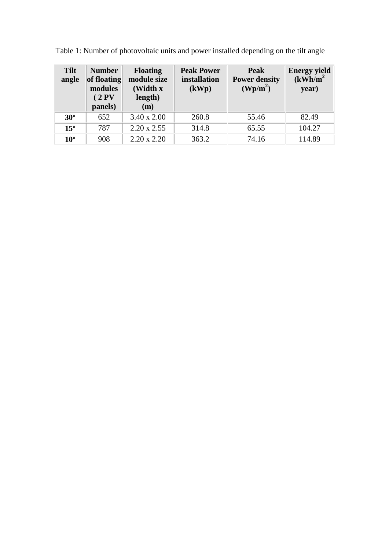| <b>Tilt</b><br>angle | <b>Number</b><br>of floating<br>modules<br>(2PV)<br>panels) | <b>Floating</b><br>module size<br>(Width x<br>length)<br>(m) | <b>Peak Power</b><br>installation<br>(kWp) | Peak<br><b>Power density</b><br>$(\text{Wp/m}^2)$ | <b>Energy yield</b><br>(kWh/m <sup>2</sup> )<br>year) |  |  |  |  |
|----------------------|-------------------------------------------------------------|--------------------------------------------------------------|--------------------------------------------|---------------------------------------------------|-------------------------------------------------------|--|--|--|--|
| $30^\circ$           | 652                                                         | $3.40 \times 2.00$                                           | 260.8                                      | 55.46                                             | 82.49                                                 |  |  |  |  |
| $15^{\circ}$         | 787                                                         | $2.20 \times 2.55$                                           | 314.8                                      | 65.55                                             | 104.27                                                |  |  |  |  |
| $10^{\circ}$         | 908                                                         | $2.20 \times 2.20$                                           | 363.2                                      | 74.16                                             | 114.89                                                |  |  |  |  |

Table 1: Number of photovoltaic units and power installed depending on the tilt angle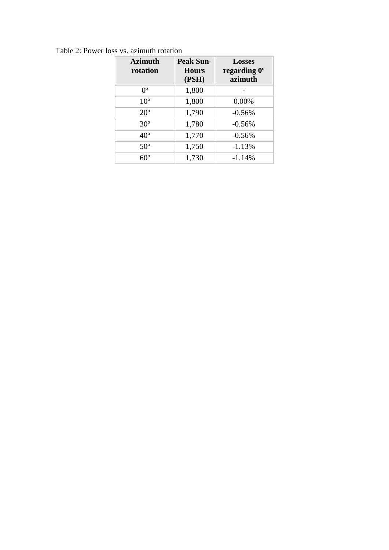| <b>Azimuth</b><br>rotation | <b>Peak Sun-</b><br><b>Hours</b><br>(PSH) | <b>Losses</b><br>regarding 0°<br>azimuth |
|----------------------------|-------------------------------------------|------------------------------------------|
| $0^{\circ}$                | 1,800                                     |                                          |
| 10 <sup>o</sup>            | 1,800                                     | 0.00%                                    |
| $20^{\circ}$               | 1,790                                     | $-0.56%$                                 |
| $30^\circ$                 | 1,780                                     | $-0.56%$                                 |
| $40^{\circ}$               | 1,770                                     | $-0.56%$                                 |
| $50^\circ$                 | 1,750                                     | $-1.13%$                                 |
| $60^\circ$                 | 1,730                                     | $-1.14%$                                 |

Table 2: Power loss vs. azimuth rotation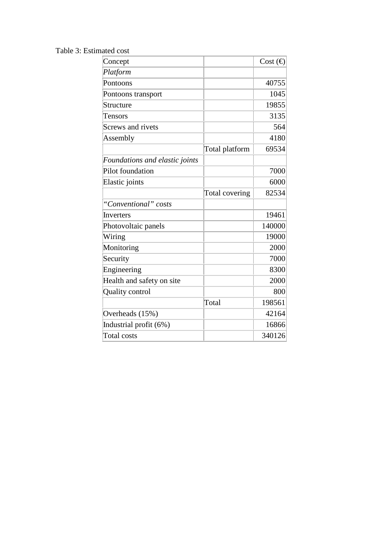Table 3: Estimated cost

| Concept                        |                | Cost $\bigoplus$ |
|--------------------------------|----------------|------------------|
| Platform                       |                |                  |
| Pontoons                       |                | 40755            |
| Pontoons transport             |                | 1045             |
| Structure                      |                | 19855            |
| Tensors                        |                | 3135             |
| Screws and rivets              |                | 564              |
| Assembly                       |                | 4180             |
|                                | Total platform | 69534            |
| Foundations and elastic joints |                |                  |
| Pilot foundation               |                | 7000             |
| Elastic joints                 |                | 6000             |
|                                | Total covering | 82534            |
| "Conventional" costs           |                |                  |
| Inverters                      |                | 19461            |
| Photovoltaic panels            |                | 140000           |
| Wiring                         |                | 19000            |
| Monitoring                     |                | 2000             |
| Security                       |                | 7000             |
| Engineering                    |                | 8300             |
| Health and safety on site      |                | 2000             |
| Quality control                |                | 800              |
|                                | Total          | 198561           |
| Overheads (15%)                |                | 42164            |
| Industrial profit (6%)         |                | 16866            |
| Total costs                    |                | 340126           |
|                                |                |                  |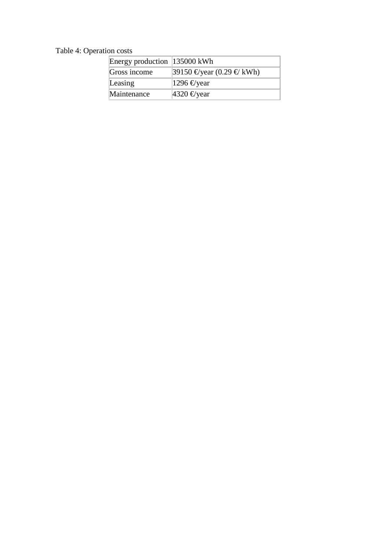# Table 4: Operation costs

| Energy production 135000 kWh |                               |
|------------------------------|-------------------------------|
| Gross income                 | $39150 \n∈$ year (0.29 € kWh) |
| Leasing                      | 1296 $\epsilon$ year          |
| Maintenance                  | 4320 $\epsilon$ year          |